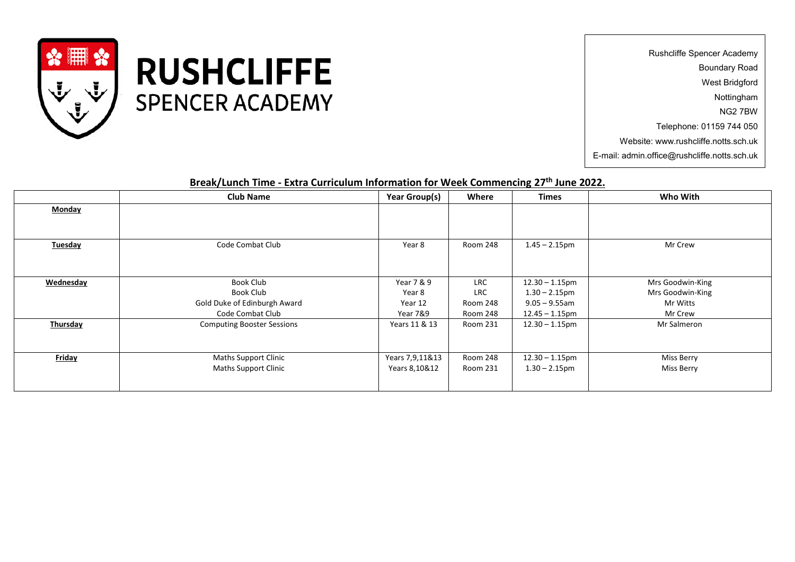

**RUSHCLIFFE SPENCER ACADEMY** 

Rushcliffe Spencer Academy Boundary Road West Bridgford Nottingham NG2 7BW Telephone: 01159 744 050 Website: www.rushcliffe.notts.sch.uk E-mail: admin.office@rushcliffe.notts.sch.uk

## **Break/Lunch Time - Extra Curriculum Information for Week Commencing 27 th June 2022.**

|                 | <b>Club Name</b>                  | Year Group(s)   | Where           | <b>Times</b>      | Who With         |
|-----------------|-----------------------------------|-----------------|-----------------|-------------------|------------------|
| <b>Monday</b>   |                                   |                 |                 |                   |                  |
|                 |                                   |                 |                 |                   |                  |
|                 |                                   |                 |                 |                   |                  |
| <b>Tuesday</b>  | Code Combat Club                  | Year 8          | Room 248        | $1.45 - 2.15$ pm  | Mr Crew          |
|                 |                                   |                 |                 |                   |                  |
|                 |                                   |                 |                 |                   |                  |
| Wednesday       | Book Club                         | Year 7 & 9      | <b>LRC</b>      | $12.30 - 1.15$ pm | Mrs Goodwin-King |
|                 | Book Club                         | Year 8          | LRC             | $1.30 - 2.15$ pm  | Mrs Goodwin-King |
|                 | Gold Duke of Edinburgh Award      | Year 12         | Room 248        | $9.05 - 9.55$ am  | Mr Witts         |
|                 | Code Combat Club                  | Year 7&9        | Room 248        | $12.45 - 1.15$ pm | Mr Crew          |
| <b>Thursday</b> | <b>Computing Booster Sessions</b> | Years 11 & 13   | <b>Room 231</b> | $12.30 - 1.15$ pm | Mr Salmeron      |
|                 |                                   |                 |                 |                   |                  |
|                 |                                   |                 |                 |                   |                  |
| <b>Friday</b>   | <b>Maths Support Clinic</b>       | Years 7,9,11&13 | Room 248        | $12.30 - 1.15$ pm | Miss Berry       |
|                 | <b>Maths Support Clinic</b>       | Years 8,10&12   | Room 231        | $1.30 - 2.15$ pm  | Miss Berry       |
|                 |                                   |                 |                 |                   |                  |
|                 |                                   |                 |                 |                   |                  |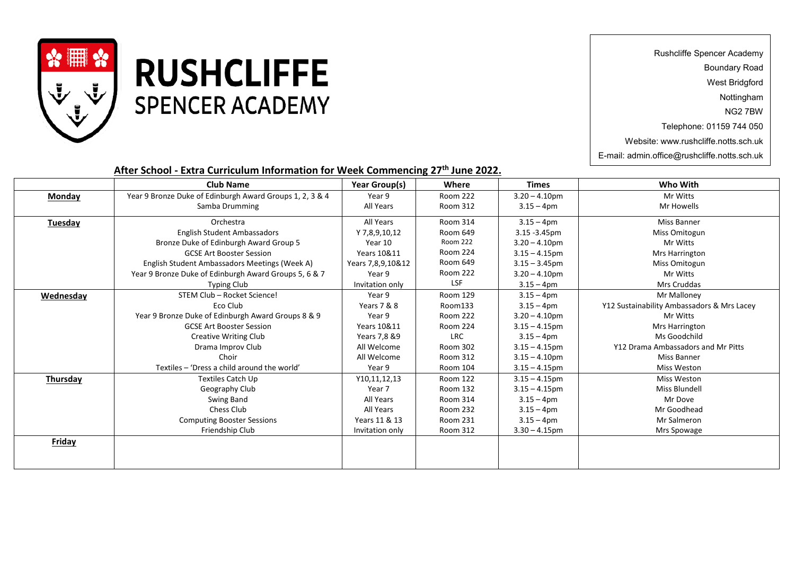

## **RUSHCLIFFE SPENCER ACADEMY**

Rushcliffe Spencer Academy

Boundary Road

West Bridgford

Nottingham

NG2 7BW

Telephone: 01159 744 050

Website: www.rushcliffe.notts.sch.uk

E-mail: admin.office@rushcliffe.notts.sch.uk

## **After School - Extra Curriculum Information for Week Commencing 27 th June 2022.**

|                 | <b>Club Name</b>                                         | Year Group(s)          | Where           | <b>Times</b>     | Who With                                   |
|-----------------|----------------------------------------------------------|------------------------|-----------------|------------------|--------------------------------------------|
| <b>Monday</b>   | Year 9 Bronze Duke of Edinburgh Award Groups 1, 2, 3 & 4 | Year 9                 | <b>Room 222</b> | $3.20 - 4.10$ pm | Mr Witts                                   |
|                 | Samba Drumming                                           | All Years              | Room 312        | $3.15 - 4$ pm    | Mr Howells                                 |
| <b>Tuesday</b>  | Orchestra                                                | All Years              | <b>Room 314</b> | $3.15 - 4pm$     | <b>Miss Banner</b>                         |
|                 | <b>English Student Ambassadors</b>                       | Y 7,8,9,10,12          | Room 649        | $3.15 - 3.45$ pm | Miss Omitogun                              |
|                 | Bronze Duke of Edinburgh Award Group 5                   | Year 10                | <b>Room 222</b> | $3.20 - 4.10$ pm | Mr Witts                                   |
|                 | <b>GCSE Art Booster Session</b>                          | Years 10&11            | <b>Room 224</b> | $3.15 - 4.15$ pm | <b>Mrs Harrington</b>                      |
|                 | English Student Ambassadors Meetings (Week A)            | Years 7,8,9,10&12      | Room 649        | $3.15 - 3.45$ pm | Miss Omitogun                              |
|                 | Year 9 Bronze Duke of Edinburgh Award Groups 5, 6 & 7    | Year 9                 | <b>Room 222</b> | $3.20 - 4.10$ pm | Mr Witts                                   |
|                 | <b>Typing Club</b>                                       | Invitation only        | <b>LSF</b>      | $3.15 - 4$ pm    | Mrs Cruddas                                |
| Wednesday       | STEM Club - Rocket Science!                              | Year 9                 | Room 129        | $3.15 - 4pm$     | Mr Malloney                                |
|                 | Eco Club                                                 | Years 7 & 8            | Room133         | $3.15 - 4pm$     | Y12 Sustainability Ambassadors & Mrs Lacey |
|                 | Year 9 Bronze Duke of Edinburgh Award Groups 8 & 9       | Year 9                 | <b>Room 222</b> | $3.20 - 4.10$ pm | Mr Witts                                   |
|                 | <b>GCSE Art Booster Session</b>                          | <b>Years 10&amp;11</b> | <b>Room 224</b> | $3.15 - 4.15$ pm | Mrs Harrington                             |
|                 | <b>Creative Writing Club</b>                             | Years 7,8 &9           | <b>LRC</b>      | $3.15 - 4$ pm    | Ms Goodchild                               |
|                 | Drama Improv Club                                        | All Welcome            | Room 302        | $3.15 - 4.15$ pm | Y12 Drama Ambassadors and Mr Pitts         |
|                 | Choir                                                    | All Welcome            | Room 312        | $3.15 - 4.10$ pm | <b>Miss Banner</b>                         |
|                 | Textiles - 'Dress a child around the world'              | Year 9                 | Room 104        | $3.15 - 4.15$ pm | <b>Miss Weston</b>                         |
| <b>Thursday</b> | <b>Textiles Catch Up</b>                                 | Y10,11,12,13           | Room 122        | $3.15 - 4.15$ pm | Miss Weston                                |
|                 | Geography Club                                           | Year 7                 | Room 132        | $3.15 - 4.15$ pm | Miss Blundell                              |
|                 | Swing Band                                               | All Years              | Room 314        | $3.15 - 4pm$     | Mr Dove                                    |
|                 | Chess Club                                               | All Years              | <b>Room 232</b> | $3.15 - 4pm$     | Mr Goodhead                                |
|                 | <b>Computing Booster Sessions</b>                        | Years 11 & 13          | Room 231        | $3.15 - 4pm$     | Mr Salmeron                                |
|                 | Friendship Club                                          | Invitation only        | Room 312        | $3.30 - 4.15$ pm | Mrs Spowage                                |
| <b>Friday</b>   |                                                          |                        |                 |                  |                                            |
|                 |                                                          |                        |                 |                  |                                            |
|                 |                                                          |                        |                 |                  |                                            |